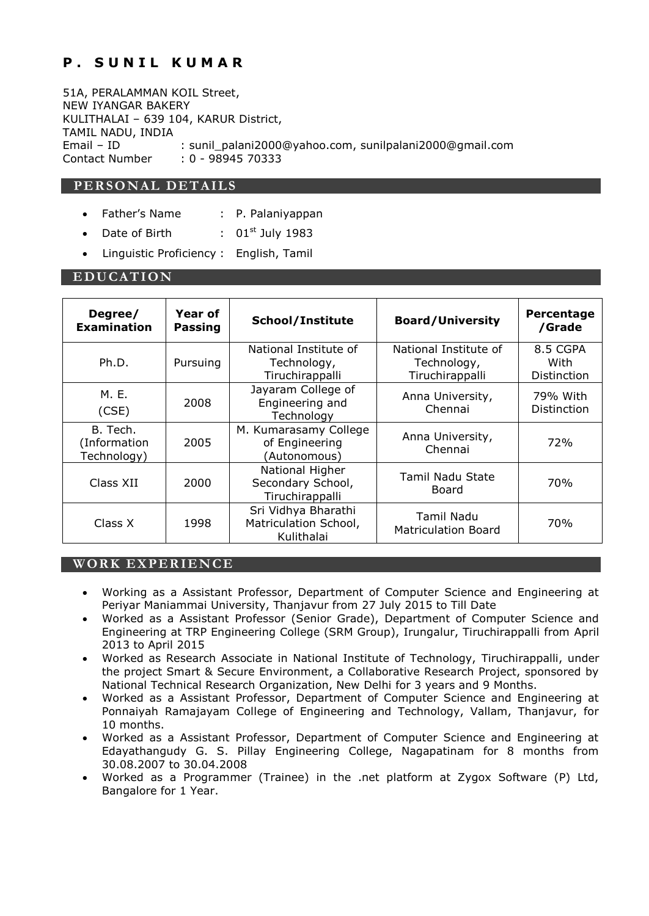# **P. SUNIL KUMAR**

51A, PERALAMMAN KOIL Street, NEW IYANGAR BAKERY KULITHALAI – 639 104, KARUR District, TAMIL NADU, INDIA Email – ID : sunil\_palani2000@yahoo.com, sunilpalani2000@gmail.com Contact Number : 0 - 98945 70333

# **PE RSON AL DET AILS**

- Father's Name : P. Palaniyappan
- Date of Birth  $1983$
- Linguistic Proficiency : English, Tamil

#### **E DUCAT ION**

| Degree/<br><b>Examination</b>           | Year of<br><b>Passing</b> | School/Institute                                           | <b>Board/University</b>                                 | Percentage<br>/Grade            |
|-----------------------------------------|---------------------------|------------------------------------------------------------|---------------------------------------------------------|---------------------------------|
| Ph.D.                                   | Pursuing                  | National Institute of<br>Technology,<br>Tiruchirappalli    | National Institute of<br>Technology,<br>Tiruchirappalli | 8.5 CGPA<br>With<br>Distinction |
| M. E.<br>(CSE)                          | 2008                      | Jayaram College of<br>Engineering and<br>Technology        | Anna University,<br>Chennai                             | 79% With<br>Distinction         |
| B. Tech.<br>(Information<br>Technology) | 2005                      | M. Kumarasamy College<br>of Engineering<br>(Autonomous)    | Anna University,<br>Chennai                             | 72%                             |
| Class XII                               | 2000                      | National Higher<br>Secondary School,<br>Tiruchirappalli    | <b>Tamil Nadu State</b><br>Board                        | 70%                             |
| Class X                                 | 1998                      | Sri Vidhya Bharathi<br>Matriculation School,<br>Kulithalai | Tamil Nadu<br><b>Matriculation Board</b>                | 70%                             |

## **WORK EXPERIENCE**

- Working as a Assistant Professor, Department of Computer Science and Engineering at Periyar Maniammai University, Thanjavur from 27 July 2015 to Till Date
- Worked as a Assistant Professor (Senior Grade), Department of Computer Science and Engineering at TRP Engineering College (SRM Group), Irungalur, Tiruchirappalli from April 2013 to April 2015
- Worked as Research Associate in National Institute of Technology, Tiruchirappalli, under the project Smart & Secure Environment, a Collaborative Research Project, sponsored by National Technical Research Organization, New Delhi for 3 years and 9 Months.
- Worked as a Assistant Professor, Department of Computer Science and Engineering at Ponnaiyah Ramajayam College of Engineering and Technology, Vallam, Thanjavur, for 10 months.
- Worked as a Assistant Professor, Department of Computer Science and Engineering at Edayathangudy G. S. Pillay Engineering College, Nagapatinam for 8 months from 30.08.2007 to 30.04.2008
- Worked as a Programmer (Trainee) in the .net platform at Zygox Software (P) Ltd, Bangalore for 1 Year.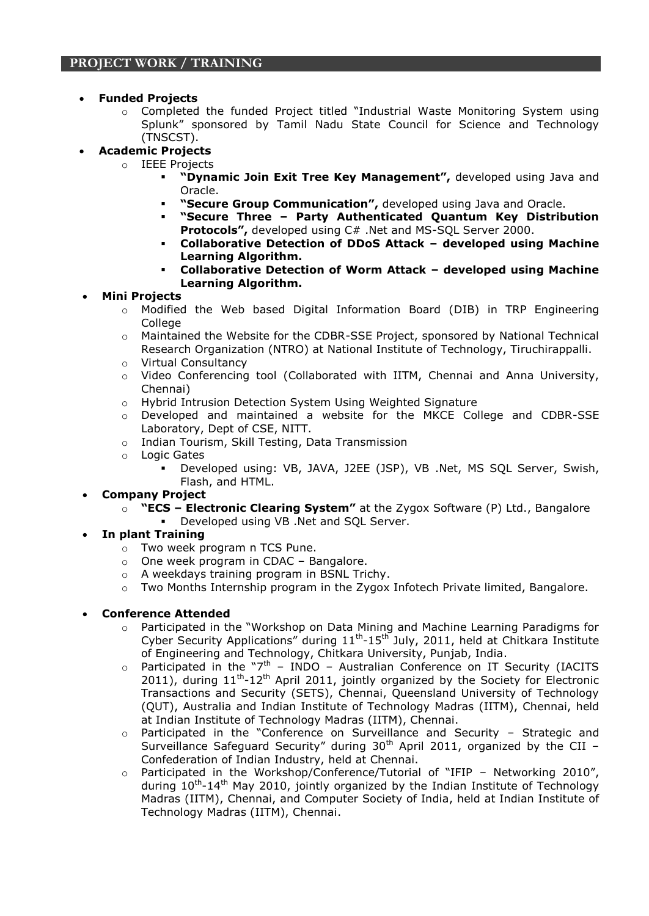## **Funded Projects**

- $\circ$  Completed the funded Project titled "Industrial Waste Monitoring System using Splunk" sponsored by Tamil Nadu State Council for Science and Technology (TNSCST).
- **Academic Projects**
	- o IEEE Projects
		- **"Dynamic Join Exit Tree Key Management",** developed using Java and Oracle.
		- **"Secure Group Communication",** developed using Java and Oracle.
		- **"Secure Three – Party Authenticated Quantum Key Distribution Protocols",** developed using C# .Net and MS-SQL Server 2000.
		- **Collaborative Detection of DDoS Attack – developed using Machine Learning Algorithm.**
		- **Collaborative Detection of Worm Attack – developed using Machine Learning Algorithm.**
- **Mini Projects**
	- o Modified the Web based Digital Information Board (DIB) in TRP Engineering **College**
	- o Maintained the Website for the CDBR-SSE Project, sponsored by National Technical Research Organization (NTRO) at National Institute of Technology, Tiruchirappalli.
	- o Virtual Consultancy
	- o Video Conferencing tool (Collaborated with IITM, Chennai and Anna University, Chennai)
	- o Hybrid Intrusion Detection System Using Weighted Signature
	- o Developed and maintained a website for the MKCE College and CDBR-SSE Laboratory, Dept of CSE, NITT.
	- o Indian Tourism, Skill Testing, Data Transmission
	- o Logic Gates
		- Developed using: VB, JAVA, J2EE (JSP), VB .Net, MS SQL Server, Swish, Flash, and HTML.
- **Company Project**
	- o **"ECS – Electronic Clearing System"** at the Zygox Software (P) Ltd., Bangalore
		- Developed using VB .Net and SQL Server.
- **In plant Training**
	- o Two week program n TCS Pune.
	- o One week program in CDAC Bangalore.
	- o A weekdays training program in BSNL Trichy.
	- o Two Months Internship program in the Zygox Infotech Private limited, Bangalore.

## **Conference Attended**

- o Participated in the "Workshop on Data Mining and Machine Learning Paradigms for Cyber Security Applications" during  $11<sup>th</sup>$ -15<sup>th</sup> July, 2011, held at Chitkara Institute of Engineering and Technology, Chitkara University, Punjab, India.
- $\circ$  Participated in the "7<sup>th</sup> INDO Australian Conference on IT Security (IACITS 2011), during  $11^{th}$ -12<sup>th</sup> April 2011, jointly organized by the Society for Electronic Transactions and Security (SETS), Chennai, Queensland University of Technology (QUT), Australia and Indian Institute of Technology Madras (IITM), Chennai, held at Indian Institute of Technology Madras (IITM), Chennai.
- o Participated in the "Conference on Surveillance and Security Strategic and Surveillance Safeguard Security" during  $30<sup>th</sup>$  April 2011, organized by the CII – Confederation of Indian Industry, held at Chennai.
- $\circ$  Participated in the Workshop/Conference/Tutorial of "IFIP Networking 2010", during 10<sup>th</sup>-14<sup>th</sup> May 2010, jointly organized by the Indian Institute of Technology Madras (IITM), Chennai, and Computer Society of India, held at Indian Institute of Technology Madras (IITM), Chennai.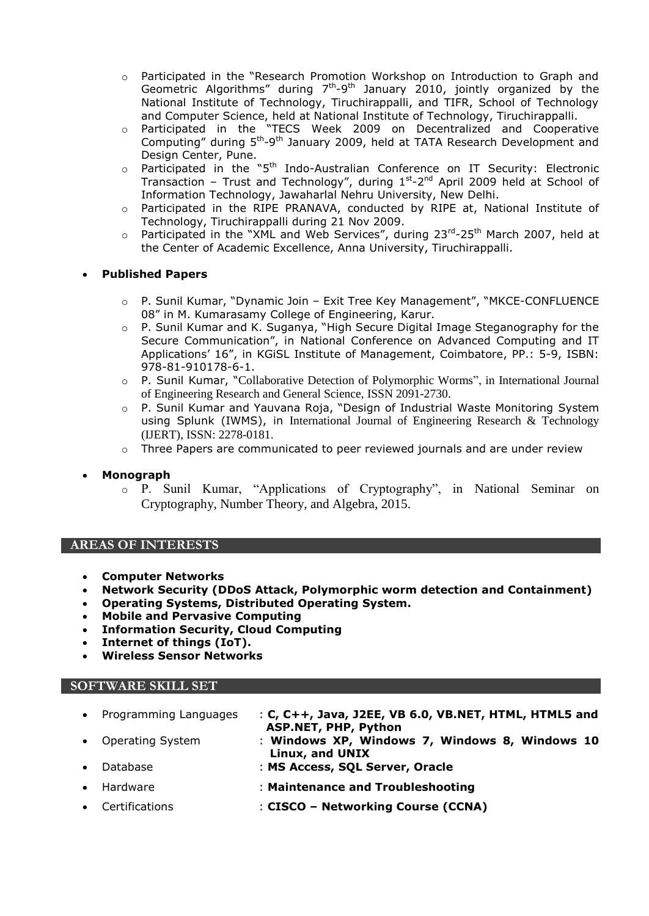- o Participated in the "Research Promotion Workshop on Introduction to Graph and Geometric Algorithms" during  $7<sup>th</sup>-9<sup>th</sup>$  January 2010, jointly organized by the National Institute of Technology, Tiruchirappalli, and TIFR, School of Technology and Computer Science, held at National Institute of Technology, Tiruchirappalli.
- o Participated in the "TECS Week 2009 on Decentralized and Cooperative Computing" during 5<sup>th</sup>-9<sup>th</sup> January 2009, held at TATA Research Development and Design Center, Pune.
- $\circ$  Participated in the "5<sup>th</sup> Indo-Australian Conference on IT Security: Electronic Transaction – Trust and Technology", during  $1^{st}$ -2<sup>nd</sup> April 2009 held at School of Information Technology, Jawaharlal Nehru University, New Delhi.
- o Participated in the RIPE PRANAVA, conducted by RIPE at, National Institute of Technology, Tiruchirappalli during 21 Nov 2009.
- $\circ$  Participated in the "XML and Web Services", during 23 $^{\text{rd}}$ -25<sup>th</sup> March 2007, held at the Center of Academic Excellence, Anna University, Tiruchirappalli.

## **Published Papers**

- o P. Sunil Kumar, "Dynamic Join Exit Tree Key Management", "MKCE-CONFLUENCE 08" in M. Kumarasamy College of Engineering, Karur.
- o P. Sunil Kumar and K. Suganya, "High Secure Digital Image Steganography for the Secure Communication", in National Conference on Advanced Computing and IT Applications' 16", in KGiSL Institute of Management, Coimbatore, PP.: 5-9, ISBN: 978-81-910178-6-1.
- o P. Sunil Kumar, "Collaborative Detection of Polymorphic Worms", in International Journal of Engineering Research and General Science, ISSN 2091-2730.
- o P. Sunil Kumar and Yauvana Roja, "Design of Industrial Waste Monitoring System using Splunk (IWMS), in International Journal of Engineering Research & Technology (IJERT), ISSN: 2278-0181.
- $\circ$  Three Papers are communicated to peer reviewed journals and are under review
- **Monograph**
	- o P. Sunil Kumar, "Applications of Cryptography", in National Seminar on Cryptography, Number Theory, and Algebra, 2015.

## **AREAS OF INTERESTS**

- **Computer Networks**
- **Network Security (DDoS Attack, Polymorphic worm detection and Containment)**
- **Operating Systems, Distributed Operating System.**
- **Mobile and Pervasive Computing**
- **Information Security, Cloud Computing**
- **Internet of things (IoT).**
- **Wireless Sensor Networks**

#### **SOFTWARE SKILL SET**

| • Programming Languages | : C, $C++$ , Java, J2EE, VB 6.0, VB.NET, HTML, HTML5 and                      |
|-------------------------|-------------------------------------------------------------------------------|
| • Operating System      | <b>ASP.NET, PHP, Python</b><br>: Windows XP, Windows 7, Windows 8, Windows 10 |
| • Database              | Linux, and UNIX<br>: MS Access, SQL Server, Oracle                            |

- Hardware : **Maintenance and Troubleshooting**
- Certifications : **CISCO – Networking Course (CCNA)**